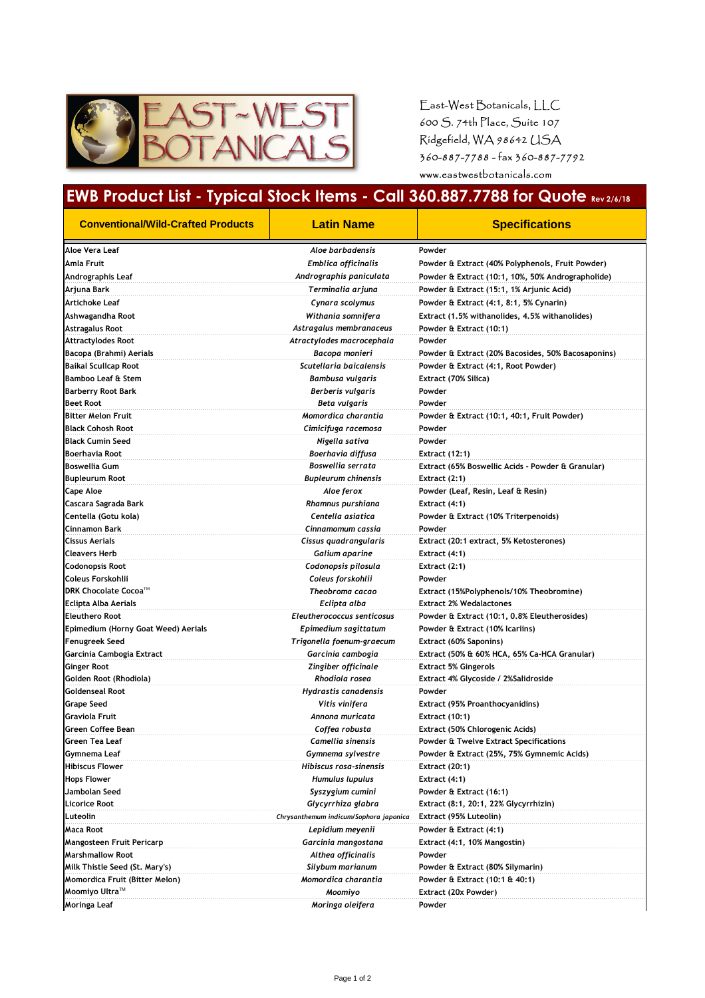

East-West Botanicals, LLC 600 S. 74th Place, Suite 107 Ridgefield, WA 98642 USA 360-887-7788 - fax 360-887-7792 www.eastwestbotanicals.com

## **EWB Product List - Typical Stock Items - Call 360.887.7788 for Quote Rev 2/6/18**

| <b>Conventional/Wild-Crafted Products</b>       | <b>Latin Name</b>                      | <b>Specifications</b>                              |
|-------------------------------------------------|----------------------------------------|----------------------------------------------------|
| Aloe Vera Leaf                                  | Aloe barbadensis                       | Powder                                             |
| Amla Fruit                                      | <b>Emblica officinalis</b>             | Powder & Extract (40% Polyphenols, Fruit Powder)   |
| Andrographis Leaf                               | Andrographis paniculata                | Powder & Extract (10:1, 10%, 50% Andrographolide)  |
| Arjuna Bark                                     | Terminalia arjuna                      | Powder & Extract (15:1, 1% Arjunic Acid)           |
| Artichoke Leaf                                  | Cynara scolymus                        | Powder & Extract (4:1, 8:1, 5% Cynarin)            |
| Ashwagandha Root                                | Withania somnifera                     | Extract (1.5% withanolides, 4.5% withanolides)     |
| Astragalus Root                                 | Astragalus membranaceus                | Powder & Extract (10:1)                            |
| <b>Attractylodes Root</b>                       | Atractylodes macrocephala              | Powder                                             |
| Bacopa (Brahmi) Aerials                         | Bacopa monieri                         | Powder & Extract (20% Bacosides, 50% Bacosaponins) |
| Baikal Scullcap Root                            | Scutellaria baicalensis                | Powder & Extract (4:1, Root Powder)                |
| <b>Bamboo Leaf &amp; Stem</b>                   | Bambusa vulgaris                       | Extract (70% Silica)                               |
| <b>Barberry Root Bark</b>                       | Berberis vulgaris                      | Powder                                             |
| <b>Beet Root</b>                                | Beta vulgaris                          | Powder                                             |
| <b>Bitter Melon Fruit</b>                       | Momordica charantia                    | Powder & Extract (10:1, 40:1, Fruit Powder)        |
| <b>Black Cohosh Root</b>                        | Cimicifuga racemosa                    | Powder                                             |
| <b>Black Cumin Seed</b>                         | Nigella sativa                         | Powder                                             |
| Boerhavia Root                                  | Boerhavia diffusa                      | <b>Extract (12:1)</b>                              |
| <b>Boswellia Gum</b>                            | Boswellia serrata                      | Extract (65% Boswellic Acids - Powder & Granular)  |
| <b>Bupleurum Root</b>                           | <b>Bupleurum chinensis</b>             | Extract (2:1)                                      |
| <b>Cape Aloe</b>                                | Aloe ferox                             | Powder (Leaf, Resin, Leaf & Resin)                 |
| Cascara Sagrada Bark                            | Rhamnus purshiana                      | Extract (4:1)                                      |
| Centella (Gotu kola)                            | Centella asiatica                      | Powder & Extract (10% Triterpenoids)               |
| Cinnamon Bark                                   | Cinnamomum cassia                      | Powder                                             |
| <b>Cissus Aerials</b>                           | Cissus quadrangularis                  | Extract (20:1 extract, 5% Ketosterones)            |
| <b>Cleavers Herb</b>                            | Galium aparine                         | Extract (4:1)                                      |
| <b>Codonopsis Root</b>                          | Codonopsis pilosula                    | Extract (2:1)                                      |
| Coleus Forskohlii                               | Coleus forskohlii                      | Powder                                             |
| <b>DRK Chocolate Cocoa</b> ™                    | Theobroma cacao                        | Extract (15%Polyphenols/10% Theobromine)           |
| Eclipta Alba Aerials                            | Eclipta alba                           | <b>Extract 2% Wedalactones</b>                     |
| <b>Eleuthero Root</b>                           | Eleutherococcus senticosus             | Powder & Extract (10:1, 0.8% Eleutherosides)       |
| Epimedium (Horny Goat Weed) Aerials             | Epimedium sagittatum                   | Powder & Extract (10% Icariins)                    |
| Fenugreek Seed                                  | Trigonella foenum-graecum              | Extract (60% Saponins)                             |
| Garcinia Cambogia Extract                       | Garcinia cambogia                      | Extract (50% & 60% HCA, 65% Ca-HCA Granular)       |
| <b>Ginger Root</b>                              | Zingiber officinale                    | Extract 5% Gingerols                               |
| Golden Root (Rhodiola)                          | Rhodiola rosea                         | Extract 4% Glycoside / 2%Salidroside               |
| <b>Goldenseal Root</b>                          | Hydrastis canadensis                   | Powder                                             |
| <b>Grape Seed</b>                               | Vitis vinifera                         | <b>Extract (95% Proanthocyanidins)</b>             |
| <b>Graviola Fruit</b>                           | Annona muricata                        | Extract (10:1)                                     |
| Green Coffee Bean                               | Coffea robusta                         | Extract (50% Chlorogenic Acids)                    |
| Green Tea Leaf                                  | Camellia sinensis                      | Powder & Twelve Extract Specifications             |
| Gymnema Leaf                                    | Gymnema sylvestre                      | Powder & Extract (25%, 75% Gymnemic Acids)         |
| <b>Hibiscus Flower</b>                          | Hibiscus rosa-sinensis                 | <b>Extract (20:1)</b>                              |
| <b>Hops Flower</b>                              | Humulus lupulus                        | Extract (4:1)                                      |
| Jambolan Seed                                   | Syszygium cumini                       | Powder & Extract (16:1)                            |
| <b>Licorice Root</b>                            | Glycyrrhiza glabra                     | Extract (8:1, 20:1, 22% Glycyrrhizin)              |
| Luteolin                                        | Chrysanthemum indicum/Sophora japonica | Extract (95% Luteolin)                             |
| Maca Root                                       | Lepidium meyenii                       | Powder & Extract (4:1)                             |
| Mangosteen Fruit Pericarp                       | Garcinia mangostana                    | Extract (4:1, 10% Mangostin)                       |
| <b>Marshmallow Root</b>                         | Althea officinalis                     | Powder                                             |
| Milk Thistle Seed (St. Mary's)                  | Silybum marianum                       | Powder & Extract (80% Silymarin)                   |
| <b>Momordica Fruit (Bitter Melon)</b>           | Momordica charantia                    | Powder & Extract (10:1 & 40:1)                     |
| Moomiyo Ultra $^{\scriptscriptstyle \text{TM}}$ | Moomiyo                                | Extract (20x Powder)                               |
| Moringa Leaf                                    | Moringa oleifera                       | Powder                                             |
|                                                 |                                        |                                                    |